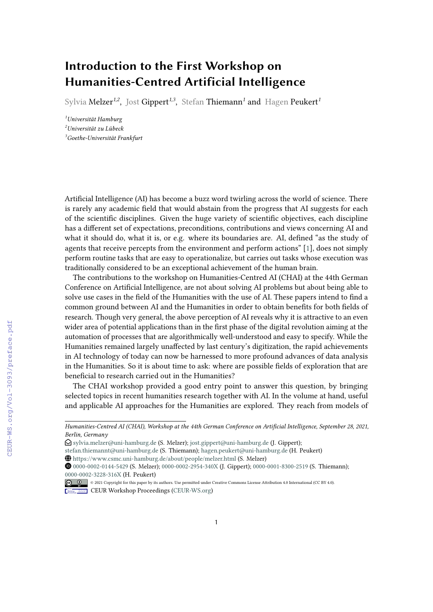## **Introduction to the First Workshop on Humanities-Centred Artificial Intelligence**

Sylvia Melzer*1,2* , Jost Gippert*1,3* , Stefan Thiemann*<sup>1</sup>* and Hagen Peukert*<sup>1</sup>*

*<sup>1</sup>Universität Hamburg <sup>2</sup>Universität zu Lübeck <sup>3</sup>Goethe-Universität Frankfurt*

Artificial Intelligence (AI) has become a buzz word twirling across the world of science. There is rarely any academic field that would abstain from the progress that AI suggests for each of the scientific disciplines. Given the huge variety of scientific objectives, each discipline has a different set of expectations, preconditions, contributions and views concerning AI and what it should do, what it is, or e.g. where its boundaries are. AI, defined "as the study of agents that receive percepts from the environment and perform actions" [\[1\]](#page--1-0), does not simply perform routine tasks that are easy to operationalize, but carries out tasks whose execution was traditionally considered to be an exceptional achievement of the human brain.

The contributions to the workshop on Humanities-Centred AI (CHAI) at the 44th German Conference on Artificial Intelligence, are not about solving AI problems but about being able to solve use cases in the field of the Humanities with the use of AI. These papers intend to find a common ground between AI and the Humanities in order to obtain benefits for both fields of research. Though very general, the above perception of AI reveals why it is attractive to an even wider area of potential applications than in the first phase of the digital revolution aiming at the automation of processes that are algorithmically well-understood and easy to specify. While the Humanities remained largely unaffected by last century's digitization, the rapid achievements in AI technology of today can now be harnessed to more profound advances of data analysis in the Humanities. So it is about time to ask: where are possible fields of exploration that are beneficial to research carried out in the Humanities?

The CHAI workshop provided a good entry point to answer this question, by bringing selected topics in recent humanities research together with AI. In the volume at hand, useful and applicable AI approaches for the Humanities are explored. They reach from models of

*Humanities-Centred AI (CHAI), Workshop at the 44th German Conference on Artificial Intelligence, September 28, 2021, Berlin, Germany*

 $\bigcirc$  [sylvia.melzer@uni-hamburg.de](mailto:sylvia.melzer@uni-hamburg.de) (S. Melzer); [jost.gippert@uni-hamburg.de](mailto:jost.gippert@uni-hamburg.de) (J. Gippert);

[stefan.thiemannt@uni-hamburg.de](mailto:stefan.thiemannt@uni-hamburg.de) (S. Thiemann); [hagen.peukert@uni-hamburg.de](mailto:hagen.peukert@uni-hamburg.de) (H. Peukert)

<https://www.csmc.uni-hamburg.de/about/people/melzer.html> (S. Melzer)

[0000-0002-0144-5429](https://orcid.org/0000-0002-0144-5429) (S. Melzer); [0000-0002-2954-340X](https://orcid.org/0000-0002-2954-340X) (J. Gippert); [0000-0001-8300-2519](https://orcid.org/0000-0001-8300-2519) (S. Thiemann); [0000-0002-3228-316X](https://orcid.org/0000-0002-3228-316X) (H. Peukert)

<sup>©</sup> 2021 Copyright for this paper by its authors. Use permitted under Creative Commons License Attribution 4.0 International (CC BY 4.0). **CEUR Workshop [Proceedings](http://ceur-ws.org) [\(CEUR-WS.org\)](http://ceur-ws.org)**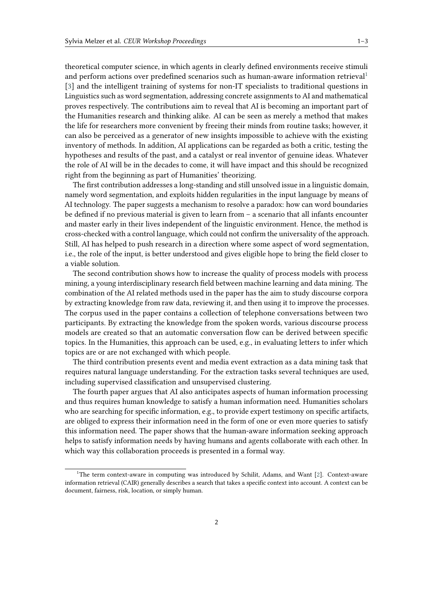theoretical computer science, in which agents in clearly defined environments receive stimuli and perform actions over predefined scenarios such as human-aware information retrieval<sup>[1](#page-1-0)</sup> [\[3\]](#page-2-0) and the intelligent training of systems for non-IT specialists to traditional questions in Linguistics such as word segmentation, addressing concrete assignments to AI and mathematical proves respectively. The contributions aim to reveal that AI is becoming an important part of the Humanities research and thinking alike. AI can be seen as merely a method that makes the life for researchers more convenient by freeing their minds from routine tasks; however, it can also be perceived as a generator of new insights impossible to achieve with the existing inventory of methods. In addition, AI applications can be regarded as both a critic, testing the hypotheses and results of the past, and a catalyst or real inventor of genuine ideas. Whatever the role of AI will be in the decades to come, it will have impact and this should be recognized right from the beginning as part of Humanities' theorizing.

The first contribution addresses a long-standing and still unsolved issue in a linguistic domain, namely word segmentation, and exploits hidden regularities in the input language by means of AI technology. The paper suggests a mechanism to resolve a paradox: how can word boundaries be defined if no previous material is given to learn from – a scenario that all infants encounter and master early in their lives independent of the linguistic environment. Hence, the method is cross-checked with a control language, which could not confirm the universality of the approach. Still, AI has helped to push research in a direction where some aspect of word segmentation, i.e., the role of the input, is better understood and gives eligible hope to bring the field closer to a viable solution.

The second contribution shows how to increase the quality of process models with process mining, a young interdisciplinary research field between machine learning and data mining. The combination of the AI related methods used in the paper has the aim to study discourse corpora by extracting knowledge from raw data, reviewing it, and then using it to improve the processes. The corpus used in the paper contains a collection of telephone conversations between two participants. By extracting the knowledge from the spoken words, various discourse process models are created so that an automatic conversation flow can be derived between specific topics. In the Humanities, this approach can be used, e.g., in evaluating letters to infer which topics are or are not exchanged with which people.

The third contribution presents event and media event extraction as a data mining task that requires natural language understanding. For the extraction tasks several techniques are used, including supervised classification and unsupervised clustering.

The fourth paper argues that AI also anticipates aspects of human information processing and thus requires human knowledge to satisfy a human information need. Humanities scholars who are searching for specific information, e.g., to provide expert testimony on specific artifacts, are obliged to express their information need in the form of one or even more queries to satisfy this information need. The paper shows that the human-aware information seeking approach helps to satisfy information needs by having humans and agents collaborate with each other. In which way this collaboration proceeds is presented in a formal way.

<span id="page-1-0"></span><sup>&</sup>lt;sup>1</sup>The term context-aware in computing was introduced by Schilit, Adams, and Want [\[2\]](#page-2-1). Context-aware information retrieval (CAIR) generally describes a search that takes a specific context into account. A context can be document, fairness, risk, location, or simply human.